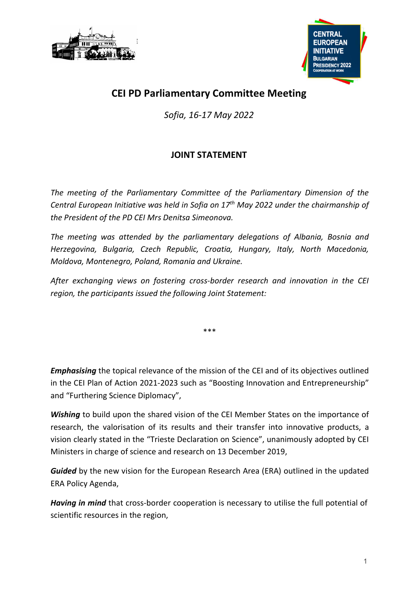



## CEI PD Parliamentary Committee Meeting

Sofia, 16-17 May 2022

## JOINT STATEMENT

The meeting of the Parliamentary Committee of the Parliamentary Dimension of the Central European Initiative was held in Sofia on  $17<sup>th</sup>$  May 2022 under the chairmanship of the President of the PD CEI Mrs Denitsa Simeonova.

The meeting was attended by the parliamentary delegations of Albania, Bosnia and Herzegovina, Bulgaria, Czech Republic, Croatia, Hungary, Italy, North Macedonia, Moldova, Montenegro, Poland, Romania and Ukraine.

After exchanging views on fostering cross-border research and innovation in the CEI region, the participants issued the following Joint Statement:

\*\*\*

**Emphasising** the topical relevance of the mission of the CEI and of its objectives outlined in the CEI Plan of Action 2021-2023 such as "Boosting Innovation and Entrepreneurship" and "Furthering Science Diplomacy",

Wishing to build upon the shared vision of the CEI Member States on the importance of research, the valorisation of its results and their transfer into innovative products, a vision clearly stated in the "Trieste Declaration on Science", unanimously adopted by CEI Ministers in charge of science and research on 13 December 2019,

Guided by the new vision for the European Research Area (ERA) outlined in the updated ERA Policy Agenda,

Having in mind that cross-border cooperation is necessary to utilise the full potential of scientific resources in the region,